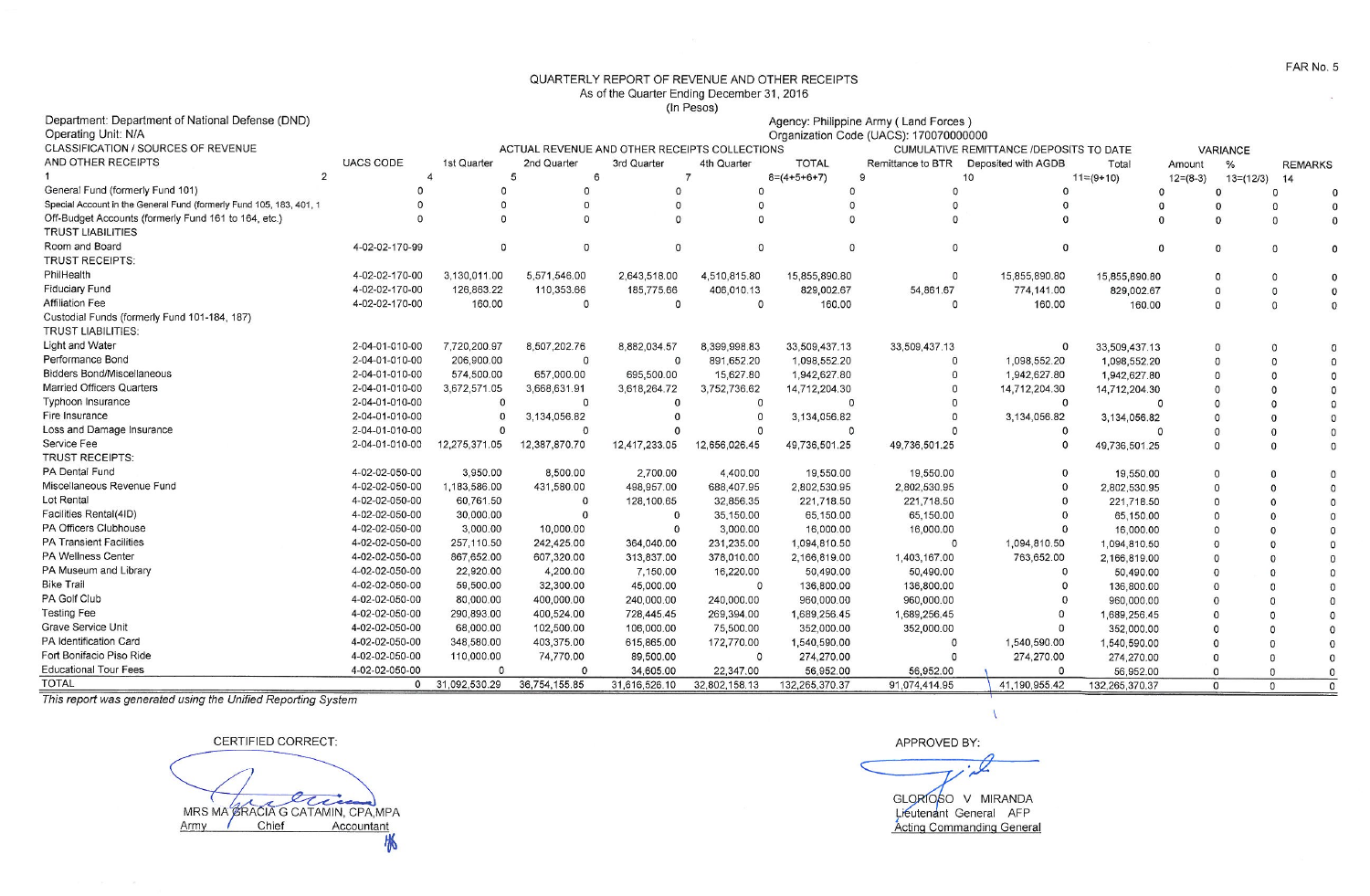$\sim$ 

## QUARTERLY REPORT OF REVENUE AND OTHER RECEIPTS As of the Quarter Ending December 31, 2016<br>(In Pesos)

|                                                                     |                                        |                        |                                               |               | $\mu$ $\sim$ $\sigma$ |                                                            |                   |                     |                |            |                      |                |              |
|---------------------------------------------------------------------|----------------------------------------|------------------------|-----------------------------------------------|---------------|-----------------------|------------------------------------------------------------|-------------------|---------------------|----------------|------------|----------------------|----------------|--------------|
| Department: Department of National Defense (DND)                    | Agency: Philippine Army (Land Forces)  |                        |                                               |               |                       |                                                            |                   |                     |                |            |                      |                |              |
| Operating Unit: N/A                                                 | Organization Code (UACS): 170070000000 |                        |                                               |               |                       |                                                            |                   |                     |                |            |                      |                |              |
| <b>CLASSIFICATION / SOURCES OF REVENUE</b>                          |                                        |                        | ACTUAL REVENUE AND OTHER RECEIPTS COLLECTIONS |               |                       | CUMULATIVE REMITTANCE /DEPOSITS TO DATE<br><b>VARIANCE</b> |                   |                     |                |            |                      |                |              |
| AND OTHER RECEIPTS                                                  | <b>UACS CODE</b>                       | 1st Quarter            | 2nd Quarter                                   | 3rd Quarter   | 4th Quarter           | <b>TOTAL</b>                                               | Remittance to BTR | Deposited with AGDB | Total          | Amount     | %                    | <b>REMARKS</b> |              |
| $\overline{2}$                                                      |                                        | $\boldsymbol{\Lambda}$ | 5<br>6                                        |               | $\overline{7}$        | $8=(4+5+6+7)$                                              | 9                 | 10                  | $11=(9+10)$    | $12=(8-3)$ | $13=(12/3)$          | 14             |              |
| General Fund (formerly Fund 101)                                    |                                        |                        | $\Omega$                                      |               |                       |                                                            |                   | O                   |                |            | 0                    | $\Omega$       |              |
| Special Account in the General Fund (formerly Fund 105, 183, 401, 1 |                                        |                        | $\Omega$                                      |               |                       |                                                            |                   |                     |                |            |                      |                | $\Omega$     |
| Off-Budget Accounts (formerly Fund 161 to 164, etc.)                |                                        | $\Omega$               | $\Omega$                                      |               |                       |                                                            |                   |                     | $\Omega$       |            |                      | $\Omega$       | $\Omega$     |
| <b>TRUST LIABILITIES</b>                                            |                                        |                        |                                               |               |                       |                                                            |                   |                     |                |            |                      |                |              |
| Room and Board                                                      | 4-02-02-170-99                         | $\mathbf 0$            | $\circ$                                       | $\Omega$      | $\Omega$              | $\Omega$                                                   |                   | $\Omega$            | $\Omega$       |            | $\Omega$             |                | $\Omega$     |
| <b>TRUST RECEIPTS:</b>                                              |                                        |                        |                                               |               |                       |                                                            |                   |                     |                |            |                      |                |              |
| PhilHealth                                                          | 4-02-02-170-00                         | 3,130,011.00           | 5,571,546.00                                  | 2,643,518.00  | 4,510,815.80          | 15,855,890.80                                              |                   | 15,855,890.80       | 15,855,890.80  |            | $\Omega$             |                | $\Omega$     |
| <b>Fiduciary Fund</b>                                               | 4-02-02-170-00                         | 126,863.22             | 110,353.66                                    | 185,775.66    | 406,010.13            | 829,002.67                                                 | 54,861.67         | 774,141.00          | 829,002.67     |            | $\Omega$             |                | $\Omega$     |
| <b>Affiliation Fee</b>                                              | 4-02-02-170-00                         | 160.00                 | $\Omega$                                      | $\Omega$      | $\Omega$              | 160.00                                                     | $\Omega$          | 160.00              | 160.00         |            | <sup>0</sup>         | $\Omega$       |              |
| Custodial Funds (formerly Fund 101-184, 187)                        |                                        |                        |                                               |               |                       |                                                            |                   |                     |                |            |                      |                |              |
| <b>TRUST LIABILITIES:</b>                                           |                                        |                        |                                               |               |                       |                                                            |                   |                     |                |            |                      |                |              |
| Light and Water                                                     | 2-04-01-010-00                         | 7,720,200.97           | 8,507,202.76                                  | 8,882,034.57  | 8,399,998.83          | 33,509,437.13                                              | 33,509,437.13     | $\Omega$            | 33,509,437.13  |            | $\Omega$<br>$\Omega$ |                |              |
| Performance Bond                                                    | 2-04-01-010-00                         | 206,900.00             | $\Omega$                                      | $\Omega$      | 891,652.20            | 1,098,552.20                                               | $\Omega$          | 1,098,552.20        | 1,098,552.20   |            | $\Omega$             |                | $\Omega$     |
| <b>Bidders Bond/Miscellaneous</b>                                   | 2-04-01-010-00                         | 574,500.00             | 657,000.00                                    | 695,500.00    | 15,627.80             | 1,942,627.80                                               |                   | 1,942,627.80        | 1,942,627.80   |            | $\Omega$             |                |              |
| <b>Married Officers Quarters</b>                                    | 2-04-01-010-00                         | 3,672,571.05           | 3,668,631.91                                  | 3,618,264.72  | 3,752,736.62          | 14,712,204.30                                              |                   | 14,712,204.30       | 14,712,204.30  |            | $\Omega$             |                |              |
| Typhoon Insurance                                                   | 2-04-01-010-00                         | $\Omega$               | $\Omega$                                      | $\Omega$      | $\Omega$              | $\Omega$                                                   |                   | $\Omega$            | $\Omega$       |            |                      |                | $\Omega$     |
| Fire Insurance                                                      | 2-04-01-010-00                         |                        | 3,134,056.82                                  | $\Omega$      |                       | 3,134,056.82                                               |                   | 3,134,056.82        | 3,134,056.82   |            | $\Omega$             |                | $\Omega$     |
| Loss and Damage Insurance                                           | 2-04-01-010-00                         | $\Omega$               | $\Omega$                                      | $\Omega$      | $\Omega$              | $\Omega$                                                   |                   | $\Omega$            |                |            | $\Omega$             |                | $\mathbf{0}$ |
| Service Fee                                                         | 2-04-01-010-00                         | 12,275,371.05          | 12,387,870.70                                 | 12,417,233.05 | 12,656,026.45         | 49,736,501.25                                              | 49,736,501.25     | $\Omega$            | 49,736,501.25  |            | $\Omega$             |                | $\Omega$     |
| <b>TRUST RECEIPTS:</b>                                              |                                        |                        |                                               |               |                       |                                                            |                   |                     |                |            |                      |                |              |
| PA Dental Fund                                                      | 4-02-02-050-00                         | 3,950.00               | 8,500.00                                      | 2,700.00      | 4,400.00              | 19,550.00                                                  | 19,550.00         | $\Omega$            | 19,550.00      |            | $\Omega$             |                | $\Omega$     |
| Miscellaneous Revenue Fund                                          | 4-02-02-050-00                         | 1,183,586.00           | 431,580.00                                    | 498,957.00    | 688,407.95            | 2,802,530.95                                               | 2,802,530.95      | $\Omega$            | 2,802,530.95   |            | $\Omega$             |                | $\Omega$     |
| Lot Rental                                                          | 4-02-02-050-00                         | 60,761.50              |                                               | 128,100.65    | 32,856.35             | 221,718.50                                                 | 221,718.50        | $\Omega$            | 221,718.50     |            |                      |                |              |
| Facilities Rental(4ID)                                              | 4-02-02-050-00                         | 30,000.00              |                                               | $\Omega$      | 35,150.00             | 65,150.00                                                  | 65,150.00         |                     | 65,150.00      |            |                      |                |              |
| PA Officers Clubhouse                                               | 4-02-02-050-00                         | 3,000.00               | 10,000.00                                     | $\Omega$      | 3,000.00              | 16,000.00                                                  | 16,000.00         | $\Omega$            | 16,000.00      |            |                      |                | $\Omega$     |
| <b>PA Transient Facilities</b>                                      | 4-02-02-050-00                         | 257,110.50             | 242,425.00                                    | 364,040.00    | 231,235.00            | 1,094,810.50                                               | $\Omega$          | 1,094,810.50        | 1,094,810.50   |            |                      |                |              |
| PA Wellness Center                                                  | 4-02-02-050-00                         | 867,652.00             | 607,320.00                                    | 313,837.00    | 378,010.00            | 2,166,819.00                                               | 1,403,167.00      | 763,652.00          | 2,166,819.00   |            |                      |                |              |
| PA Museum and Library                                               | 4-02-02-050-00                         | 22,920.00              | 4,200.00                                      | 7,150.00      | 16,220.00             | 50,490.00                                                  | 50,490.00         | $\Omega$            | 50,490.00      |            |                      |                |              |
| <b>Bike Trail</b>                                                   | 4-02-02-050-00                         | 59,500.00              | 32,300.00                                     | 45,000.00     | $\Omega$              | 136,800.00                                                 | 136,800.00        | $\Omega$            | 136,800.00     |            |                      |                |              |
| PA Golf Club                                                        | 4-02-02-050-00                         | 80,000.00              | 400,000.00                                    | 240,000.00    | 240,000.00            | 960,000.00                                                 | 960,000.00        |                     | 960,000.00     |            |                      |                |              |
| <b>Testing Fee</b>                                                  | 4-02-02-050-00                         | 290,893.00             | 400,524.00                                    | 728,445.45    | 269,394.00            | 1,689,256.45                                               | 1,689,256.45      | $\Omega$            | 1,689,256.45   |            |                      |                |              |
| Grave Service Unit                                                  | 4-02-02-050-00                         | 68,000.00              | 102,500.00                                    | 106,000.00    | 75,500.00             | 352,000.00                                                 | 352,000.00        | $\Omega$            | 352,000.00     |            |                      |                |              |
| PA Identification Card                                              | 4-02-02-050-00                         | 348,580.00             | 403,375.00                                    | 615,865.00    | 172,770.00            | 1,540,590.00                                               | $\Omega$          | 1,540,590.00        | 1,540,590.00   |            |                      |                | $\Omega$     |
| Fort Bonifacio Piso Ride                                            | 4-02-02-050-00                         | 110,000.00             | 74,770.00                                     | 89,500.00     | $\Omega$              | 274,270.00                                                 |                   | 274,270.00          | 274,270.00     |            | n                    |                |              |
| <b>Educational Tour Fees</b>                                        | 4-02-02-050-00                         | $\Omega$               | $\Omega$                                      | 34,605.00     | 22,347.00             | 56,952.00                                                  | 56,952.00         | 0                   | 56,952.00      |            | $\Omega$<br>$\Omega$ | 0              |              |
| <b>TOTAL</b>                                                        | $\mathbf{0}$                           | 31,092,530.29          | 36.754.155.85                                 | 31,616,526.10 | 32.802.158.13         | 132.265.370.37                                             | 91.074.414.95     | 41,190,955.42       | 132,265,370.37 |            | $\Omega$<br>$\Omega$ | $\Omega$       |              |
|                                                                     |                                        |                        |                                               |               |                       |                                                            |                   |                     |                |            |                      |                |              |

This report was generated using the Unified Reporting System

CERTIFIED CORRECT:

MRS MA GRACIA G CATAMIN, CPA, MPA 胀

APPROVED BY:

GLORIOSO V MIRANDA<br>Lieutenant General AFP **Acting Commanding General** 

 $\mathcal{A}$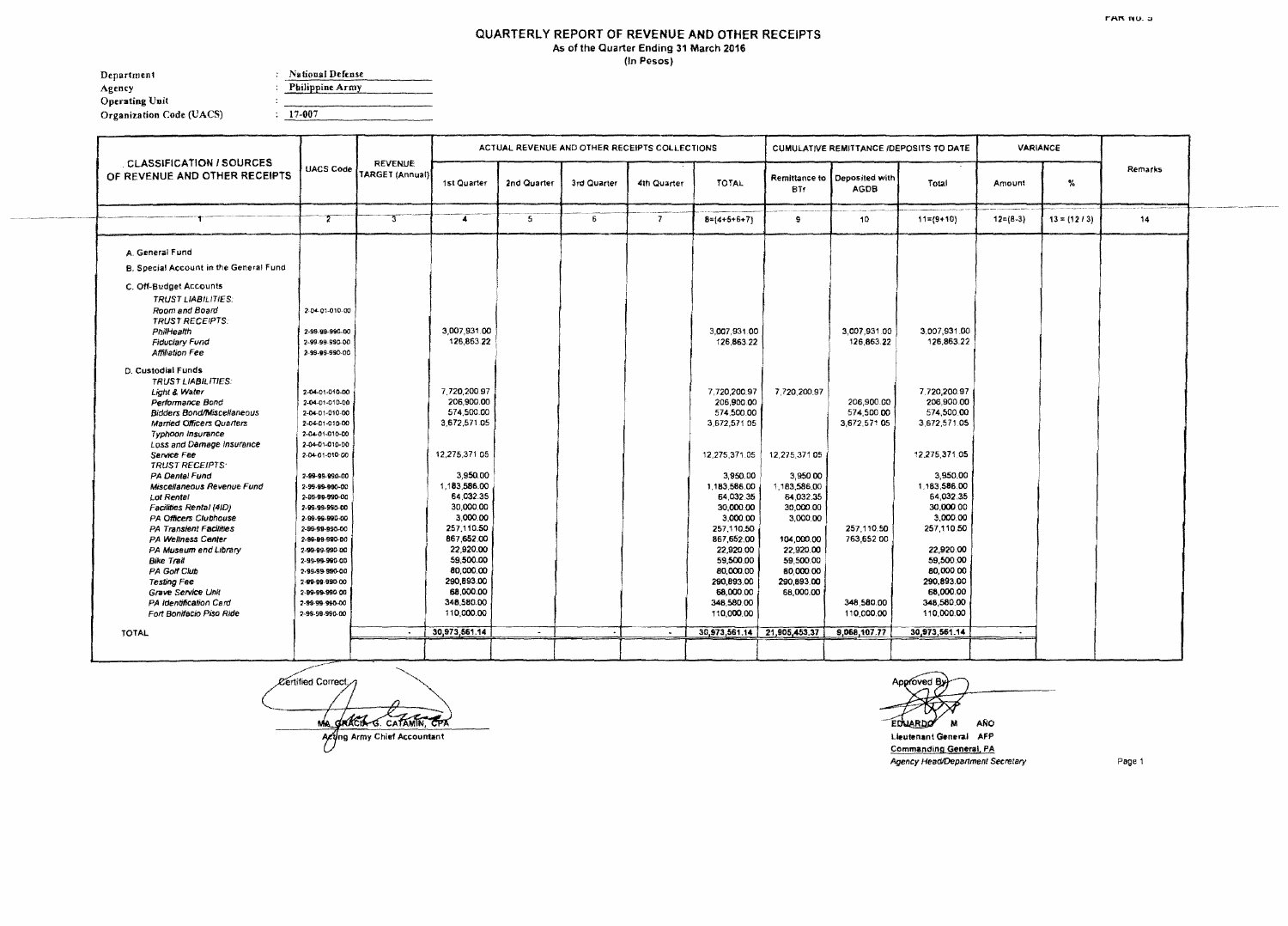## QUARTERLY REPORT OF REVENUE AND OTHER RECEIPTS As of the Quarter Ending 31 March 2016 (In Pesos)

Department : National Defense Philippine Army Agency  $\Delta$ Operating Unit  $\pm$ Organization Code (UACS)  $\frac{17-007}{x}$ 

|                                                                                                                                                                                                                                                                                                                                                                                                                                                                                                                                                                                                                                                                                |                                                                                                                                                                                                                                                                                                                                                    | <b>REVENUE</b><br>TARGET (Annual) |                                                                                                                                                                                                                    |             |             | ACTUAL REVENUE AND OTHER RECEIPTS COLLECTIONS. |                                                                                                                                                                                                                    |                                                                                                                            |                                                                                                    | <b>CUMULATIVE REMITTANCE IDEPOSITS TO DATE</b>                                                                                                                                                       | <b>VARIANCE</b> |               |         |
|--------------------------------------------------------------------------------------------------------------------------------------------------------------------------------------------------------------------------------------------------------------------------------------------------------------------------------------------------------------------------------------------------------------------------------------------------------------------------------------------------------------------------------------------------------------------------------------------------------------------------------------------------------------------------------|----------------------------------------------------------------------------------------------------------------------------------------------------------------------------------------------------------------------------------------------------------------------------------------------------------------------------------------------------|-----------------------------------|--------------------------------------------------------------------------------------------------------------------------------------------------------------------------------------------------------------------|-------------|-------------|------------------------------------------------|--------------------------------------------------------------------------------------------------------------------------------------------------------------------------------------------------------------------|----------------------------------------------------------------------------------------------------------------------------|----------------------------------------------------------------------------------------------------|------------------------------------------------------------------------------------------------------------------------------------------------------------------------------------------------------|-----------------|---------------|---------|
| <b>CLASSIFICATION / SOURCES</b><br>OF REVENUE AND OTHER RECEIPTS                                                                                                                                                                                                                                                                                                                                                                                                                                                                                                                                                                                                               | <b>UACS Code</b>                                                                                                                                                                                                                                                                                                                                   |                                   | 1st Quarter                                                                                                                                                                                                        | 2nd Quarter | 3rd Quarter | 4th Quarter                                    | <b>TOTAL</b>                                                                                                                                                                                                       | BTr                                                                                                                        | Remittance to Deposited with<br><b>AGDB</b>                                                        | Total                                                                                                                                                                                                | Amount          | $\%$          | Remarks |
|                                                                                                                                                                                                                                                                                                                                                                                                                                                                                                                                                                                                                                                                                | 2                                                                                                                                                                                                                                                                                                                                                  | $\overline{\mathbf{3}}$           | 4                                                                                                                                                                                                                  | -5          | £           | $\overline{7}$                                 | $8 = 14 + 5 + 6 + 7$                                                                                                                                                                                               | 9                                                                                                                          | 10                                                                                                 | $11 = (9 + 10)$                                                                                                                                                                                      | $12 = (8-3)$    | $13 = (12/3)$ | 14      |
| A. General Fund<br>B. Special Account in the General Fund<br>C. Off-Budget Accounts<br><b>TRUST LIABILITIES:</b><br>Room and Board<br><b>TRUST RECEIPTS:</b><br>PhilHealth<br><b>Fiduciary Fund</b><br><b>Affiliation Fee</b><br>D. Custodial Funds<br><b>TRUST LIABILITIES:</b><br>Light & Water<br>Performance Bond<br><b>Bidders Bond/Miscellaneous</b><br>Married Officers Quarters<br>Typhoon Insurance<br>Loss and Damage Insurance<br>Service Fee<br><b>TRUST RECEIPTS:</b><br>PA Dental Fund<br>Miscellaneous Revenue Fund<br>Lot Rental<br>Facilities Rental (4ID)<br>PA Officers Clubhouse<br>PA Transient Facilities<br>PA Wellness Center<br>PA Museum end Library | 2-04-01-010-00<br>2-99-99-990-00<br>2-99-99-990-00<br>2-99-99-990-00<br>2-04-01-010-00<br>2-04-01-010-00<br>2-04-01-010-00<br>2-04-01-010-00<br>2-04-01-010-00<br>2-04-01-010-00<br>2-04-01-010-00<br>2-99-99-990-00<br>2-99-99-990-00<br>2-89-99-990-00<br>2-99-99-990-00<br>2-99-99-990-00<br>2-99-99-990-00<br>2-99-99-990-00<br>2-99-99-990-00 |                                   | 3,007,931.00<br>126,863.22<br>7,720,200.97<br>206.900.00<br>574,500.00<br>3,672,571.05<br>12.275.371 05<br>3,950.00<br>1,183,586.00<br>64,032.35<br>30,000.00<br>3.000.00<br>257,110.50<br>867.652.00<br>22,920.00 |             |             |                                                | 3,007.931.00<br>126.863.22<br>7.720,200.97<br>206,900.00<br>574,500.00<br>3,672,571 05<br>12.275.371.05<br>3.950.00<br>1,183,586.00<br>64,032.35<br>30,000.00<br>3,000.00<br>257,110.50<br>867,652.00<br>22.920.00 | 7,720,200,97<br>12.275.371.05<br>3,950.00<br>1,183,586.00<br>54.032.35<br>30,000.00<br>3,000.00<br>104,000,00<br>22.920.00 | 3,007,931.00<br>126.863.22<br>206.900.00<br>574,500.00<br>3.672.571.05<br>257 110.50<br>763,652.00 | 3.007.931.00<br>126,863.22<br>7.720,200.97<br>206.900.00<br>574.500.00<br>3,672,571.05<br>12.275.371.05<br>3,950.00<br>1,183,586.00<br>64.032.35<br>30,000.00<br>3,000.00<br>257,110.50<br>22.920.00 |                 |               |         |
| <b>Bike Trail</b><br>PA Golf Club<br><b>Testing Fee</b><br>Grave Service Unit<br>PA Identification Card<br>Fort Bonifacio Piso Ride<br><b>TOTAL</b>                                                                                                                                                                                                                                                                                                                                                                                                                                                                                                                            | 2-99-99-990-00<br>2-99-99-990-00<br>2-09-99-990-00<br>2-99-99-990-00<br>2-99-99-990-00<br>2-99-99-990-00                                                                                                                                                                                                                                           | $\sim$                            | 59,500.00<br>80,000.00<br>290,893.00<br>68,000.00<br>348,580.00<br>110,000.00<br>30,973,561.14                                                                                                                     | Ż.          |             | $\sim$                                         | 59,500.00<br>80,000.00<br>290,893.00<br>58,000.00<br>348,580,00<br>110,000,00<br>30,973,561.14 21,905,453.37                                                                                                       | 59,500.00<br>80.000.00<br>290.893.00<br>68,000.00                                                                          | 348,580.00<br>110,000.00<br>9,068,107.77                                                           | 59,500.00<br>80,000.00<br>290.893.00<br>68,000.00<br>348,580.00<br>110,000.00<br>30,973,561.14                                                                                                       |                 |               |         |
|                                                                                                                                                                                                                                                                                                                                                                                                                                                                                                                                                                                                                                                                                |                                                                                                                                                                                                                                                                                                                                                    |                                   |                                                                                                                                                                                                                    |             |             |                                                |                                                                                                                                                                                                                    |                                                                                                                            |                                                                                                    |                                                                                                                                                                                                      |                 |               |         |

Certified Correct Ma director & CATAMIN, CPA Acting Army Chief Accountant

Approved By AÑO **EDUARDO**  $M$ Lieutenant General AFP Commanding General, PA Agency Head/Department Secretary

Page 1